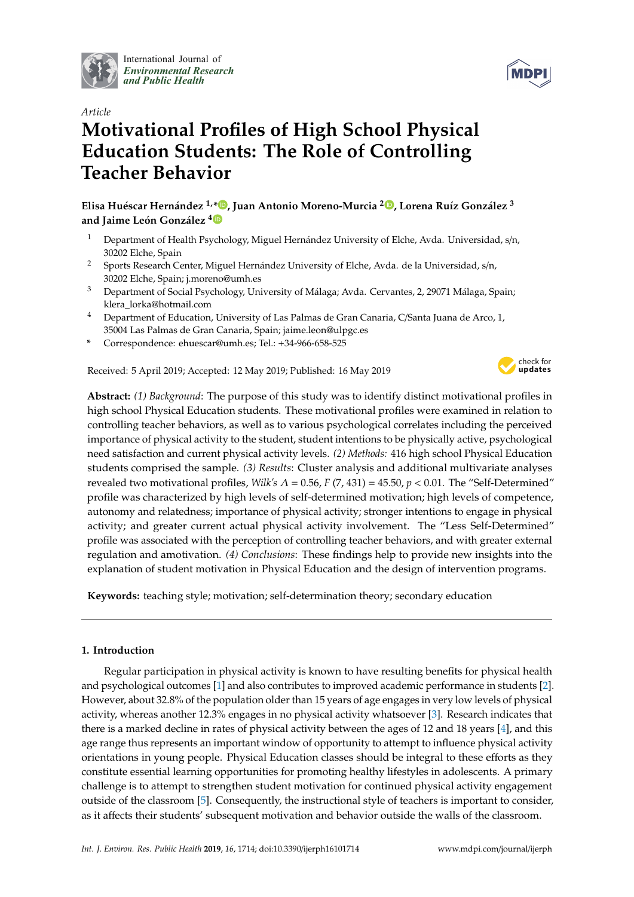

International Journal of *[Environmental Research](http://www.mdpi.com/journal/ijerph) and Public Health*



# *Article* **Motivational Profiles of High School Physical Education Students: The Role of Controlling Teacher Behavior**

**Elisa Huéscar Hernández 1,\* [,](https://orcid.org/0000-0002-2713-4506) Juan Antonio Moreno-Murcia <sup>2</sup> [,](https://orcid.org/0000-0002-6912-4859) Lorena Ruíz González <sup>3</sup> and Jaime León González [4](https://orcid.org/0000-0002-9587-4047)**

- <sup>1</sup> Department of Health Psychology, Miguel Hernández University of Elche, Avda. Universidad, s/n, 30202 Elche, Spain
- <sup>2</sup> Sports Research Center, Miguel Hernández University of Elche, Avda. de la Universidad, s/n, 30202 Elche, Spain; j.moreno@umh.es
- <sup>3</sup> Department of Social Psychology, University of Málaga; Avda. Cervantes, 2, 29071 Málaga, Spain; klera\_lorka@hotmail.com
- <sup>4</sup> Department of Education, University of Las Palmas de Gran Canaria, C/Santa Juana de Arco, 1, 35004 Las Palmas de Gran Canaria, Spain; jaime.leon@ulpgc.es
- **\*** Correspondence: ehuescar@umh.es; Tel.: +34-966-658-525

Received: 5 April 2019; Accepted: 12 May 2019; Published: 16 May 2019



**Abstract:** *(1) Background*: The purpose of this study was to identify distinct motivational profiles in high school Physical Education students. These motivational profiles were examined in relation to controlling teacher behaviors, as well as to various psychological correlates including the perceived importance of physical activity to the student, student intentions to be physically active, psychological need satisfaction and current physical activity levels. *(2) Methods:* 416 high school Physical Education students comprised the sample. *(3) Results*: Cluster analysis and additional multivariate analyses revealed two motivational profiles, *Wilk's* Λ = 0.56, *F* (7, 431) = 45.50, *p* < 0.01. The "Self-Determined" profile was characterized by high levels of self-determined motivation; high levels of competence, autonomy and relatedness; importance of physical activity; stronger intentions to engage in physical activity; and greater current actual physical activity involvement. The "Less Self-Determined" profile was associated with the perception of controlling teacher behaviors, and with greater external regulation and amotivation. *(4) Conclusions*: These findings help to provide new insights into the explanation of student motivation in Physical Education and the design of intervention programs.

**Keywords:** teaching style; motivation; self-determination theory; secondary education

## **1. Introduction**

Regular participation in physical activity is known to have resulting benefits for physical health and psychological outcomes [\[1\]](#page-10-0) and also contributes to improved academic performance in students [\[2\]](#page-10-1). However, about 32.8% of the population older than 15 years of age engages in very low levels of physical activity, whereas another 12.3% engages in no physical activity whatsoever [\[3\]](#page-11-0). Research indicates that there is a marked decline in rates of physical activity between the ages of 12 and 18 years [\[4\]](#page-11-1), and this age range thus represents an important window of opportunity to attempt to influence physical activity orientations in young people. Physical Education classes should be integral to these efforts as they constitute essential learning opportunities for promoting healthy lifestyles in adolescents. A primary challenge is to attempt to strengthen student motivation for continued physical activity engagement outside of the classroom [\[5\]](#page-11-2). Consequently, the instructional style of teachers is important to consider, as it affects their students' subsequent motivation and behavior outside the walls of the classroom.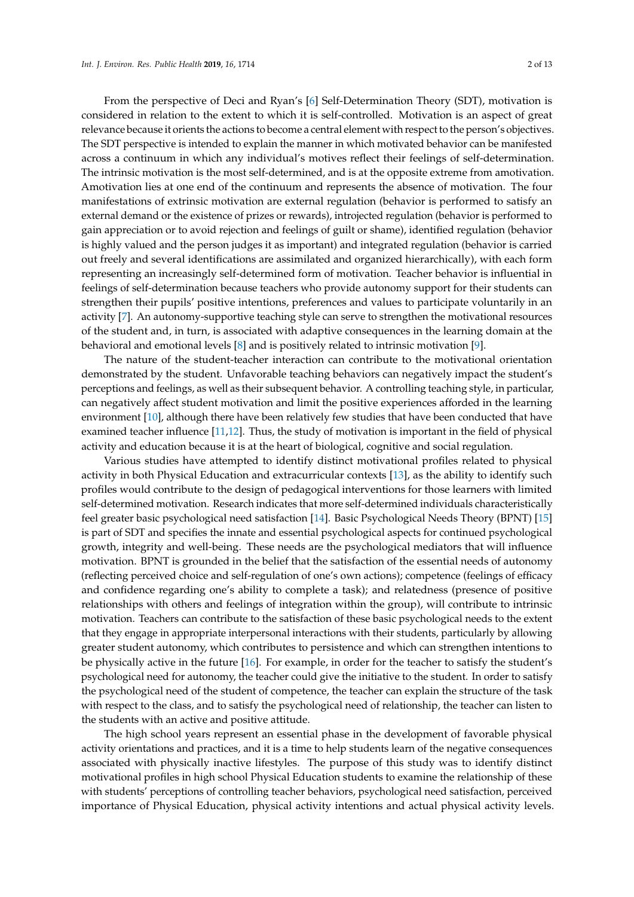considered in relation to the extent to which it is self-controlled. Motivation is an aspect of great relevance because it orients the actions to become a central element with respect to the person's objectives. The SDT perspective is intended to explain the manner in which motivated behavior can be manifested across a continuum in which any individual's motives reflect their feelings of self-determination. The intrinsic motivation is the most self-determined, and is at the opposite extreme from amotivation. Amotivation lies at one end of the continuum and represents the absence of motivation. The four manifestations of extrinsic motivation are external regulation (behavior is performed to satisfy an external demand or the existence of prizes or rewards), introjected regulation (behavior is performed to gain appreciation or to avoid rejection and feelings of guilt or shame), identified regulation (behavior is highly valued and the person judges it as important) and integrated regulation (behavior is carried out freely and several identifications are assimilated and organized hierarchically), with each form representing an increasingly self-determined form of motivation. Teacher behavior is influential in feelings of self-determination because teachers who provide autonomy support for their students can strengthen their pupils' positive intentions, preferences and values to participate voluntarily in an activity [\[7\]](#page-11-4). An autonomy-supportive teaching style can serve to strengthen the motivational resources of the student and, in turn, is associated with adaptive consequences in the learning domain at the behavioral and emotional levels [\[8\]](#page-11-5) and is positively related to intrinsic motivation [\[9\]](#page-11-6).

The nature of the student-teacher interaction can contribute to the motivational orientation demonstrated by the student. Unfavorable teaching behaviors can negatively impact the student's perceptions and feelings, as well as their subsequent behavior. A controlling teaching style, in particular, can negatively affect student motivation and limit the positive experiences afforded in the learning environment [\[10\]](#page-11-7), although there have been relatively few studies that have been conducted that have examined teacher influence [\[11](#page-11-8)[,12\]](#page-11-9). Thus, the study of motivation is important in the field of physical activity and education because it is at the heart of biological, cognitive and social regulation.

Various studies have attempted to identify distinct motivational profiles related to physical activity in both Physical Education and extracurricular contexts [\[13\]](#page-11-10), as the ability to identify such profiles would contribute to the design of pedagogical interventions for those learners with limited self-determined motivation. Research indicates that more self-determined individuals characteristically feel greater basic psychological need satisfaction [\[14\]](#page-11-11). Basic Psychological Needs Theory (BPNT) [\[15\]](#page-11-12) is part of SDT and specifies the innate and essential psychological aspects for continued psychological growth, integrity and well-being. These needs are the psychological mediators that will influence motivation. BPNT is grounded in the belief that the satisfaction of the essential needs of autonomy (reflecting perceived choice and self-regulation of one's own actions); competence (feelings of efficacy and confidence regarding one's ability to complete a task); and relatedness (presence of positive relationships with others and feelings of integration within the group), will contribute to intrinsic motivation. Teachers can contribute to the satisfaction of these basic psychological needs to the extent that they engage in appropriate interpersonal interactions with their students, particularly by allowing greater student autonomy, which contributes to persistence and which can strengthen intentions to be physically active in the future [\[16\]](#page-11-13). For example, in order for the teacher to satisfy the student's psychological need for autonomy, the teacher could give the initiative to the student. In order to satisfy the psychological need of the student of competence, the teacher can explain the structure of the task with respect to the class, and to satisfy the psychological need of relationship, the teacher can listen to the students with an active and positive attitude.

The high school years represent an essential phase in the development of favorable physical activity orientations and practices, and it is a time to help students learn of the negative consequences associated with physically inactive lifestyles. The purpose of this study was to identify distinct motivational profiles in high school Physical Education students to examine the relationship of these with students' perceptions of controlling teacher behaviors, psychological need satisfaction, perceived importance of Physical Education, physical activity intentions and actual physical activity levels.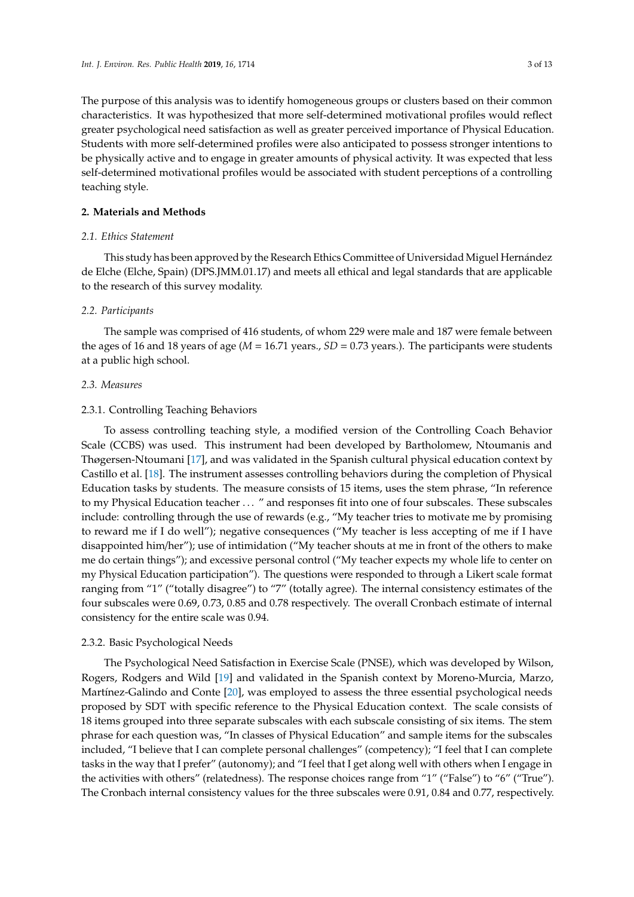The purpose of this analysis was to identify homogeneous groups or clusters based on their common characteristics. It was hypothesized that more self-determined motivational profiles would reflect greater psychological need satisfaction as well as greater perceived importance of Physical Education. Students with more self-determined profiles were also anticipated to possess stronger intentions to be physically active and to engage in greater amounts of physical activity. It was expected that less self-determined motivational profiles would be associated with student perceptions of a controlling teaching style.

## **2. Materials and Methods**

## *2.1. Ethics Statement*

This study has been approved by the Research Ethics Committee of Universidad Miguel Hernández de Elche (Elche, Spain) (DPS.JMM.01.17) and meets all ethical and legal standards that are applicable to the research of this survey modality.

## *2.2. Participants*

The sample was comprised of 416 students, of whom 229 were male and 187 were female between the ages of 16 and 18 years of age (*M* = 16.71 years., *SD* = 0.73 years.). The participants were students at a public high school.

## *2.3. Measures*

#### 2.3.1. Controlling Teaching Behaviors

To assess controlling teaching style, a modified version of the Controlling Coach Behavior Scale (CCBS) was used. This instrument had been developed by Bartholomew, Ntoumanis and Thøgersen-Ntoumani [\[17\]](#page-11-14), and was validated in the Spanish cultural physical education context by Castillo et al. [\[18\]](#page-11-15). The instrument assesses controlling behaviors during the completion of Physical Education tasks by students. The measure consists of 15 items, uses the stem phrase, "In reference to my Physical Education teacher . . . " and responses fit into one of four subscales. These subscales include: controlling through the use of rewards (e.g., "My teacher tries to motivate me by promising to reward me if I do well"); negative consequences ("My teacher is less accepting of me if I have disappointed him/her"); use of intimidation ("My teacher shouts at me in front of the others to make me do certain things"); and excessive personal control ("My teacher expects my whole life to center on my Physical Education participation"). The questions were responded to through a Likert scale format ranging from "1" ("totally disagree") to "7" (totally agree). The internal consistency estimates of the four subscales were 0.69, 0.73, 0.85 and 0.78 respectively. The overall Cronbach estimate of internal consistency for the entire scale was 0.94.

#### 2.3.2. Basic Psychological Needs

The Psychological Need Satisfaction in Exercise Scale (PNSE), which was developed by Wilson, Rogers, Rodgers and Wild [\[19\]](#page-11-16) and validated in the Spanish context by Moreno-Murcia, Marzo, Martínez-Galindo and Conte [\[20\]](#page-11-17), was employed to assess the three essential psychological needs proposed by SDT with specific reference to the Physical Education context. The scale consists of 18 items grouped into three separate subscales with each subscale consisting of six items. The stem phrase for each question was, "In classes of Physical Education" and sample items for the subscales included, "I believe that I can complete personal challenges" (competency); "I feel that I can complete tasks in the way that I prefer" (autonomy); and "I feel that I get along well with others when I engage in the activities with others" (relatedness). The response choices range from "1" ("False") to "6" ("True"). The Cronbach internal consistency values for the three subscales were 0.91, 0.84 and 0.77, respectively.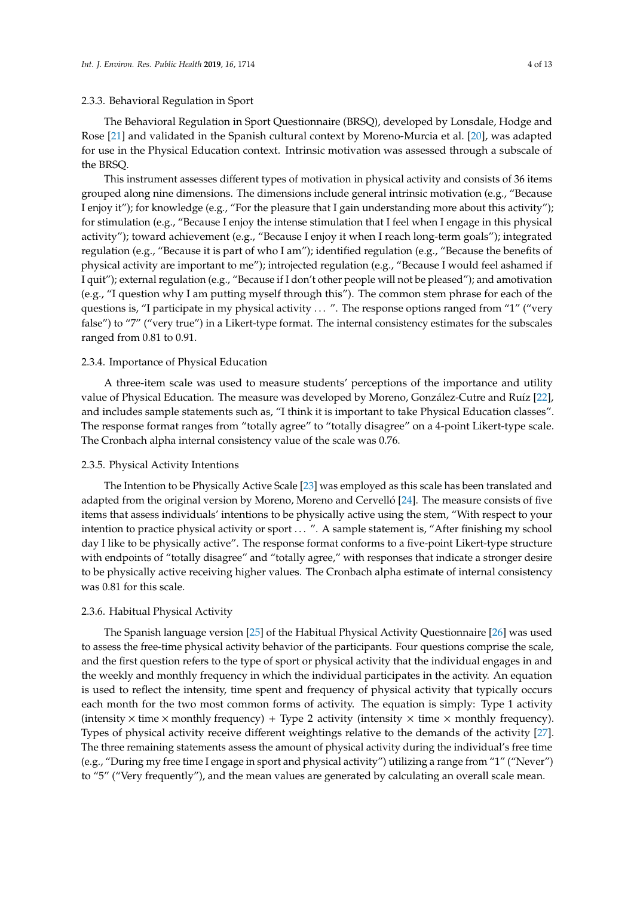## 2.3.3. Behavioral Regulation in Sport

The Behavioral Regulation in Sport Questionnaire (BRSQ), developed by Lonsdale, Hodge and Rose [\[21\]](#page-11-18) and validated in the Spanish cultural context by Moreno-Murcia et al. [\[20\]](#page-11-17), was adapted for use in the Physical Education context. Intrinsic motivation was assessed through a subscale of the BRSQ.

This instrument assesses different types of motivation in physical activity and consists of 36 items grouped along nine dimensions. The dimensions include general intrinsic motivation (e.g., "Because I enjoy it"); for knowledge (e.g., "For the pleasure that I gain understanding more about this activity"); for stimulation (e.g., "Because I enjoy the intense stimulation that I feel when I engage in this physical activity"); toward achievement (e.g., "Because I enjoy it when I reach long-term goals"); integrated regulation (e.g., "Because it is part of who I am"); identified regulation (e.g., "Because the benefits of physical activity are important to me"); introjected regulation (e.g., "Because I would feel ashamed if I quit"); external regulation (e.g., "Because if I don't other people will not be pleased"); and amotivation (e.g., "I question why I am putting myself through this"). The common stem phrase for each of the questions is, "I participate in my physical activity  $\dots$ ". The response options ranged from "1" ("very false") to "7" ("very true") in a Likert-type format. The internal consistency estimates for the subscales ranged from 0.81 to 0.91.

#### 2.3.4. Importance of Physical Education

A three-item scale was used to measure students' perceptions of the importance and utility value of Physical Education. The measure was developed by Moreno, González-Cutre and Ruíz [\[22\]](#page-11-19), and includes sample statements such as, "I think it is important to take Physical Education classes". The response format ranges from "totally agree" to "totally disagree" on a 4-point Likert-type scale. The Cronbach alpha internal consistency value of the scale was 0.76.

#### 2.3.5. Physical Activity Intentions

The Intention to be Physically Active Scale [\[23\]](#page-11-20) was employed as this scale has been translated and adapted from the original version by Moreno, Moreno and Cervelló [\[24\]](#page-12-0). The measure consists of five items that assess individuals' intentions to be physically active using the stem, "With respect to your intention to practice physical activity or sport ... ". A sample statement is, "After finishing my school day I like to be physically active". The response format conforms to a five-point Likert-type structure with endpoints of "totally disagree" and "totally agree," with responses that indicate a stronger desire to be physically active receiving higher values. The Cronbach alpha estimate of internal consistency was 0.81 for this scale.

## 2.3.6. Habitual Physical Activity

The Spanish language version [\[25\]](#page-12-1) of the Habitual Physical Activity Questionnaire [\[26\]](#page-12-2) was used to assess the free-time physical activity behavior of the participants. Four questions comprise the scale, and the first question refers to the type of sport or physical activity that the individual engages in and the weekly and monthly frequency in which the individual participates in the activity. An equation is used to reflect the intensity, time spent and frequency of physical activity that typically occurs each month for the two most common forms of activity. The equation is simply: Type 1 activity (intensity  $\times$  time  $\times$  monthly frequency) + Type 2 activity (intensity  $\times$  time  $\times$  monthly frequency). Types of physical activity receive different weightings relative to the demands of the activity [\[27\]](#page-12-3). The three remaining statements assess the amount of physical activity during the individual's free time (e.g., "During my free time I engage in sport and physical activity") utilizing a range from "1" ("Never") to "5" ("Very frequently"), and the mean values are generated by calculating an overall scale mean.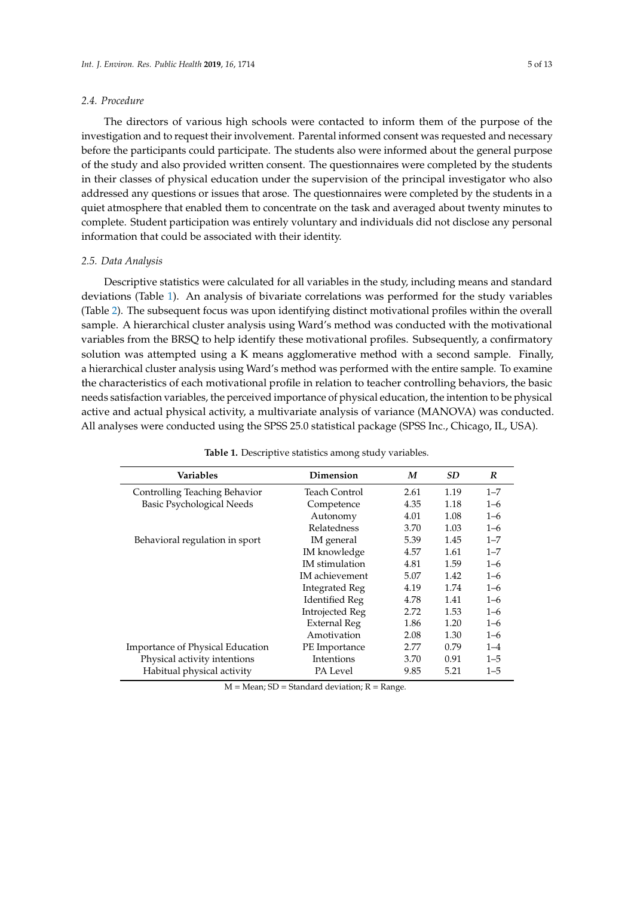#### *2.4. Procedure*

The directors of various high schools were contacted to inform them of the purpose of the investigation and to request their involvement. Parental informed consent was requested and necessary before the participants could participate. The students also were informed about the general purpose of the study and also provided written consent. The questionnaires were completed by the students in their classes of physical education under the supervision of the principal investigator who also addressed any questions or issues that arose. The questionnaires were completed by the students in a quiet atmosphere that enabled them to concentrate on the task and averaged about twenty minutes to complete. Student participation was entirely voluntary and individuals did not disclose any personal information that could be associated with their identity.

#### *2.5. Data Analysis*

Descriptive statistics were calculated for all variables in the study, including means and standard deviations (Table [1\)](#page-4-0). An analysis of bivariate correlations was performed for the study variables (Table [2\)](#page-5-0). The subsequent focus was upon identifying distinct motivational profiles within the overall sample. A hierarchical cluster analysis using Ward's method was conducted with the motivational variables from the BRSQ to help identify these motivational profiles. Subsequently, a confirmatory solution was attempted using a K means agglomerative method with a second sample. Finally, a hierarchical cluster analysis using Ward's method was performed with the entire sample. To examine the characteristics of each motivational profile in relation to teacher controlling behaviors, the basic needs satisfaction variables, the perceived importance of physical education, the intention to be physical active and actual physical activity, a multivariate analysis of variance (MANOVA) was conducted. All analyses were conducted using the SPSS 25.0 statistical package (SPSS Inc., Chicago, IL, USA).

<span id="page-4-0"></span>

| <b>Variables</b>                 | Dimension              | M    | <b>SD</b> | R       |
|----------------------------------|------------------------|------|-----------|---------|
| Controlling Teaching Behavior    | Teach Control          | 2.61 | 1.19      | $1 - 7$ |
| <b>Basic Psychological Needs</b> | Competence             | 4.35 | 1.18      | $1 - 6$ |
|                                  | Autonomy               | 4.01 | 1.08      | $1 - 6$ |
|                                  | <b>Relatedness</b>     | 3.70 | 1.03      | $1 - 6$ |
| Behavioral regulation in sport   | IM general             | 5.39 | 1.45      | $1 - 7$ |
|                                  | IM knowledge           | 4.57 | 1.61      | $1 - 7$ |
|                                  | IM stimulation         | 4.81 | 1.59      | $1 - 6$ |
|                                  | IM achievement         | 5.07 | 1.42      | $1 - 6$ |
|                                  | <b>Integrated Reg</b>  | 4.19 | 1.74      | $1 - 6$ |
|                                  | <b>Identified Reg</b>  | 4.78 | 1.41      | $1 - 6$ |
|                                  | <b>Introjected Reg</b> | 2.72 | 1.53      | $1 - 6$ |
|                                  | <b>External Reg</b>    | 1.86 | 1.20      | $1 - 6$ |
|                                  | Amotivation            | 2.08 | 1.30      | $1 - 6$ |
| Importance of Physical Education | PE Importance          | 2.77 | 0.79      | $1 - 4$ |
| Physical activity intentions     | Intentions             | 3.70 | 0.91      | $1 - 5$ |
| Habitual physical activity       | PA Level               | 9.85 | 5.21      | $1 - 5$ |

**Table 1.** Descriptive statistics among study variables.

 $M = Mean$ ; SD = Standard deviation;  $R = Range$ .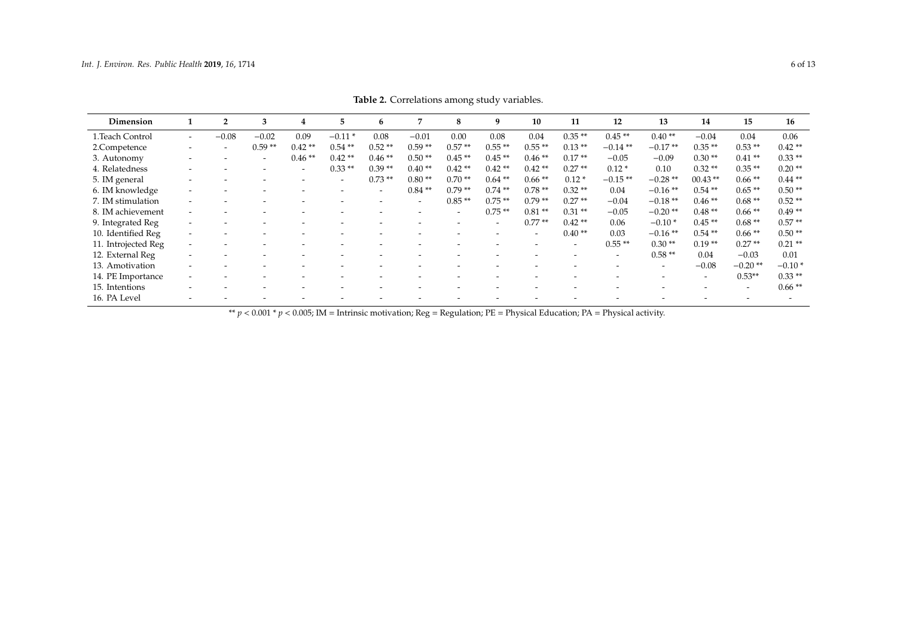| Dimension           |                          | $\overline{2}$           | 3                        | 4                        | 5                        | 6                        | 7                        | 8                        | 9                        | 10                       | 11                       | 12         | 13             | 14                       | 15                       | 16        |
|---------------------|--------------------------|--------------------------|--------------------------|--------------------------|--------------------------|--------------------------|--------------------------|--------------------------|--------------------------|--------------------------|--------------------------|------------|----------------|--------------------------|--------------------------|-----------|
| 1.Teach Control     | $\overline{\phantom{a}}$ | $-0.08$                  | $-0.02$                  | 0.09                     | $-0.11*$                 | 0.08                     | $-0.01$                  | 0.00                     | 0.08                     | 0.04                     | $0.35**$                 | $0.45**$   | $0.40**$       | $-0.04$                  | 0.04                     | 0.06      |
| 2.Competence        | $\overline{\phantom{0}}$ | $\overline{\phantom{a}}$ | $0.59**$                 | $0.42**$                 | $0.54**$                 | $0.52**$                 | $0.59**$                 | $0.57**$                 | $0.55**$                 | $0.55**$                 | $0.13**$                 | $-0.14$ ** | $-0.17**$      | $0.35**$                 | $0.53**$                 | $0.42**$  |
| 3. Autonomy         |                          |                          | $\overline{\phantom{0}}$ | $0.46**$                 | $0.42**$                 | $0.46**$                 | $0.50**$                 | $0.45**$                 | $0.45**$                 | $0.46**$                 | $0.17**$                 | $-0.05$    | $-0.09$        | $0.30**$                 | $0.41**$                 | $0.33**$  |
| 4. Relatedness      |                          |                          | $\overline{\phantom{0}}$ | $\overline{\phantom{0}}$ | $0.33**$                 | $0.39**$                 | $0.40**$                 | $0.42**$                 | $0.42**$                 | $0.42**$                 | $0.27**$                 | $0.12*$    | 0.10           | $0.32**$                 | $0.35**$                 | $0.20**$  |
| 5. IM general       |                          |                          |                          |                          | $\overline{\phantom{0}}$ | $0.73**$                 | $0.80**$                 | $0.70**$                 | $0.64$ **                | $0.66**$                 | $0.12*$                  | $-0.15**$  | $-0.28**$      | $00.43$ **               | $0.66**$                 | $0.44***$ |
| 6. IM knowledge     | $\overline{\phantom{0}}$ |                          |                          |                          |                          | $\overline{\phantom{0}}$ | $0.84**$                 | $0.79**$                 | $0.74**$                 | $0.78**$                 | $0.32**$                 | 0.04       | $-0.16**$      | $0.54**$                 | $0.65**$                 | $0.50**$  |
| 7. IM stimulation   | $\overline{\phantom{0}}$ |                          |                          |                          |                          |                          | $\overline{\phantom{0}}$ | $0.85**$                 | $0.75**$                 | $0.79**$                 | $0.27**$                 | $-0.04$    | $-0.18**$      | $0.46**$                 | $0.68**$                 | $0.52**$  |
| 8. IM achievement   | $\overline{\phantom{0}}$ |                          |                          |                          |                          |                          |                          | $\overline{\phantom{0}}$ | $0.75**$                 | $0.81**$                 | $0.31**$                 | $-0.05$    | $-0.20**$      | $0.48**$                 | $0.66**$                 | $0.49**$  |
| 9. Integrated Reg   | $\overline{\phantom{0}}$ |                          |                          |                          |                          |                          |                          |                          | $\overline{\phantom{0}}$ | $0.77**$                 | $0.42**$                 | 0.06       | $-0.10*$       | $0.45**$                 | $0.68**$                 | $0.57**$  |
| 10. Identified Reg  | $\overline{\phantom{0}}$ |                          |                          |                          |                          | $\overline{\phantom{0}}$ |                          |                          | $\overline{\phantom{0}}$ | $\overline{\phantom{a}}$ | $0.40**$                 | 0.03       | $-0.16**$      | $0.54**$                 | $0.66**$                 | $0.50**$  |
| 11. Introjected Reg | $\overline{\phantom{0}}$ |                          |                          |                          |                          |                          |                          |                          |                          | $\overline{\phantom{0}}$ | $\overline{\phantom{0}}$ | $0.55**$   | $0.30**$       | $0.19**$                 | $0.27**$                 | $0.21**$  |
| 12. External Reg    |                          |                          |                          |                          |                          |                          |                          |                          |                          |                          | $\overline{\phantom{0}}$ |            | $0.58**$       | 0.04                     | $-0.03$                  | 0.01      |
| 13. Amotivation     |                          |                          |                          |                          |                          |                          |                          |                          |                          |                          |                          |            | $\overline{a}$ | $-0.08$                  | $-0.20**$                | $-0.10*$  |
| 14. PE Importance   | $\overline{\phantom{a}}$ |                          |                          |                          |                          |                          |                          |                          |                          |                          |                          |            |                | $\overline{\phantom{0}}$ | $0.53**$                 | $0.33**$  |
| 15. Intentions      |                          |                          |                          |                          |                          |                          |                          |                          |                          |                          |                          |            |                | $\overline{\phantom{0}}$ | $\overline{\phantom{0}}$ | $0.66**$  |
| 16. PA Level        | $\overline{\phantom{0}}$ |                          |                          |                          |                          |                          |                          |                          |                          |                          |                          |            |                |                          |                          |           |

**Table 2.** Correlations among study variables.

<span id="page-5-0"></span>\*\*  $p < 0.001$  \*  $p < 0.005$ ; IM = Intrinsic motivation; Reg = Regulation; PE = Physical Education; PA = Physical activity.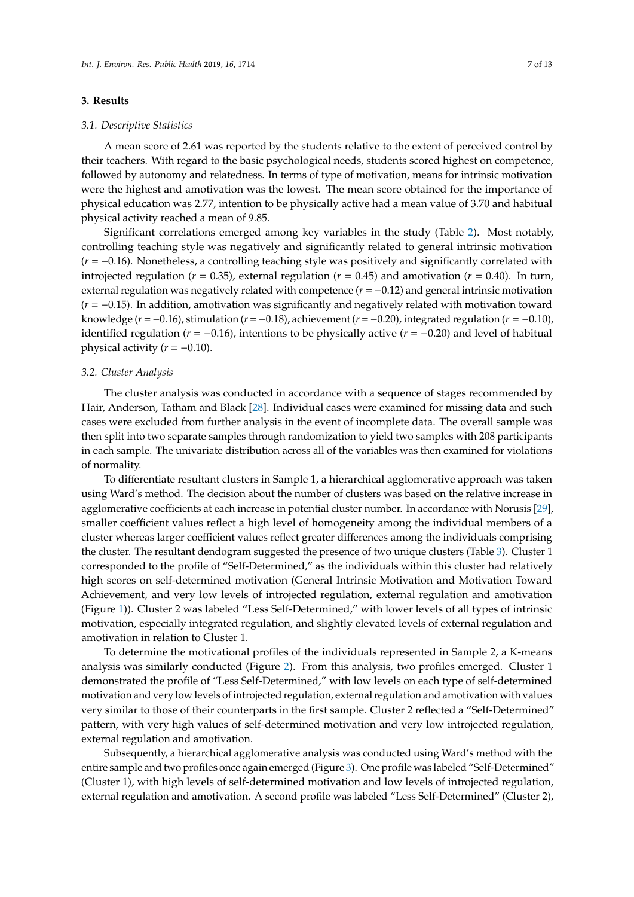## **3. Results**

#### *3.1. Descriptive Statistics*

A mean score of 2.61 was reported by the students relative to the extent of perceived control by their teachers. With regard to the basic psychological needs, students scored highest on competence, followed by autonomy and relatedness. In terms of type of motivation, means for intrinsic motivation were the highest and amotivation was the lowest. The mean score obtained for the importance of physical education was 2.77, intention to be physically active had a mean value of 3.70 and habitual physical activity reached a mean of 9.85.

Significant correlations emerged among key variables in the study (Table [2\)](#page-5-0). Most notably, controlling teaching style was negatively and significantly related to general intrinsic motivation (*r* = −0.16). Nonetheless, a controlling teaching style was positively and significantly correlated with introjected regulation ( $r = 0.35$ ), external regulation ( $r = 0.45$ ) and amotivation ( $r = 0.40$ ). In turn, external regulation was negatively related with competence (*r* = −0.12) and general intrinsic motivation (*r* = −0.15). In addition, amotivation was significantly and negatively related with motivation toward knowledge ( $r = -0.16$ ), stimulation ( $r = -0.18$ ), achievement ( $r = -0.20$ ), integrated regulation ( $r = -0.10$ ), identified regulation (*r* = −0.16), intentions to be physically active (*r* = −0.20) and level of habitual physical activity  $(r = -0.10)$ .

#### *3.2. Cluster Analysis*

The cluster analysis was conducted in accordance with a sequence of stages recommended by Hair, Anderson, Tatham and Black [\[28\]](#page-12-4). Individual cases were examined for missing data and such cases were excluded from further analysis in the event of incomplete data. The overall sample was then split into two separate samples through randomization to yield two samples with 208 participants in each sample. The univariate distribution across all of the variables was then examined for violations of normality.

To differentiate resultant clusters in Sample 1, a hierarchical agglomerative approach was taken using Ward's method. The decision about the number of clusters was based on the relative increase in agglomerative coefficients at each increase in potential cluster number. In accordance with Norusis [\[29\]](#page-12-5), smaller coefficient values reflect a high level of homogeneity among the individual members of a cluster whereas larger coefficient values reflect greater differences among the individuals comprising the cluster. The resultant dendogram suggested the presence of two unique clusters (Table [3\)](#page-7-0). Cluster 1 corresponded to the profile of "Self-Determined," as the individuals within this cluster had relatively high scores on self-determined motivation (General Intrinsic Motivation and Motivation Toward Achievement, and very low levels of introjected regulation, external regulation and amotivation (Figure [1\)](#page-7-1)). Cluster 2 was labeled "Less Self-Determined," with lower levels of all types of intrinsic motivation, especially integrated regulation, and slightly elevated levels of external regulation and amotivation in relation to Cluster 1.

To determine the motivational profiles of the individuals represented in Sample 2, a K-means analysis was similarly conducted (Figure [2\)](#page-8-0). From this analysis, two profiles emerged. Cluster 1 demonstrated the profile of "Less Self-Determined," with low levels on each type of self-determined motivation and very low levels of introjected regulation, external regulation and amotivation with values very similar to those of their counterparts in the first sample. Cluster 2 reflected a "Self-Determined" pattern, with very high values of self-determined motivation and very low introjected regulation, external regulation and amotivation.

Subsequently, a hierarchical agglomerative analysis was conducted using Ward's method with the entire sample and two profiles once again emerged (Figure [3\)](#page-8-1). One profile was labeled "Self-Determined" (Cluster 1), with high levels of self-determined motivation and low levels of introjected regulation, external regulation and amotivation. A second profile was labeled "Less Self-Determined" (Cluster 2),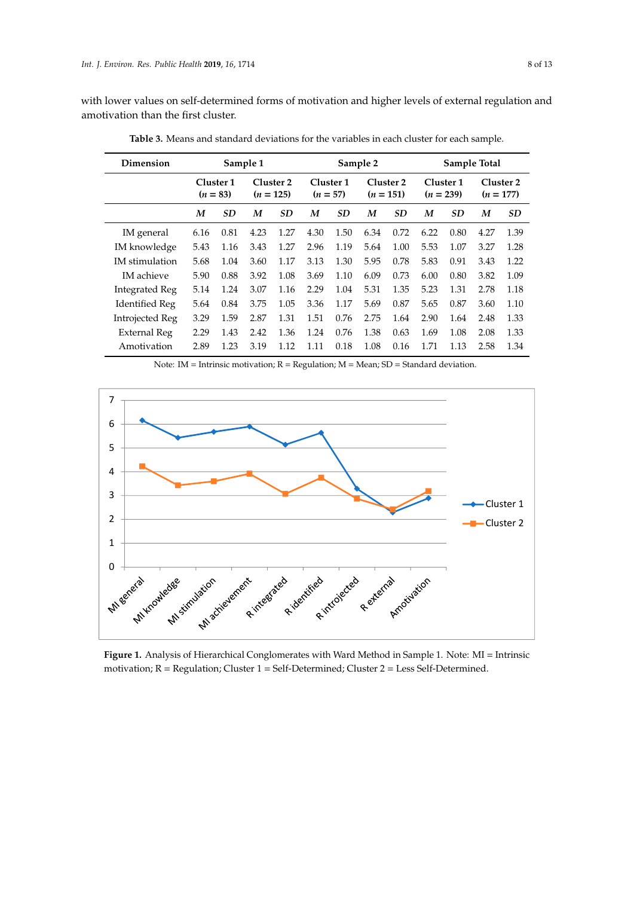with lower values on self-determined forms of motivation and higher levels of external regulation and<br>amotivation than the first cluster amotivation than the first cluster. and amotivation (Figure 1). Cluster 2 was labeled "Less Self-Determined," with lower levels of all  $\alpha$ 

| Dimension             | Sample 1 |                         |      |                          | Sample 2                |           |                          |           | Sample Total             |           |                          |           |
|-----------------------|----------|-------------------------|------|--------------------------|-------------------------|-----------|--------------------------|-----------|--------------------------|-----------|--------------------------|-----------|
|                       |          | Cluster 1<br>$(n = 83)$ |      | Cluster 2<br>$(n = 125)$ | Cluster 1<br>$(n = 57)$ |           | Cluster 2<br>$(n = 151)$ |           | Cluster 1<br>$(n = 239)$ |           | Cluster 2<br>$(n = 177)$ |           |
|                       | M        | <b>SD</b>               | M    | <b>SD</b>                | M                       | <b>SD</b> | M                        | <b>SD</b> | M                        | <b>SD</b> | M                        | <b>SD</b> |
| IM general            | 6.16     | 0.81                    | 4.23 | 1.27                     | 4.30                    | 1.50      | 6.34                     | 0.72      | 6.22                     | 0.80      | 4.27                     | 1.39      |
| IM knowledge          | 5.43     | 1.16                    | 3.43 | 1.27                     | 2.96                    | 1.19      | 5.64                     | 1.00      | 5.53                     | 1.07      | 3.27                     | 1.28      |
| <b>IM</b> stimulation | 5.68     | 1.04                    | 3.60 | 1.17                     | 3.13                    | 1.30      | 5.95                     | 0.78      | 5.83                     | 0.91      | 3.43                     | 1.22      |
| <b>IM</b> achieve     | 5.90     | 0.88                    | 3.92 | 1.08                     | 3.69                    | 1.10      | 6.09                     | 0.73      | 6.00                     | 0.80      | 3.82                     | 1.09      |
| Integrated Reg        | 5.14     | 1.24                    | 3.07 | 1.16                     | 2.29                    | 1.04      | 5.31                     | 1.35      | 5.23                     | 1.31      | 2.78                     | 1.18      |
| Identified Reg        | 5.64     | 0.84                    | 3.75 | 1.05                     | 3.36                    | 1.17      | 5.69                     | 0.87      | 5.65                     | 0.87      | 3.60                     | 1.10      |
| Introjected Reg       | 3.29     | 1.59                    | 2.87 | 1.31                     | 1.51                    | 0.76      | 2.75                     | 1.64      | 2.90                     | 1.64      | 2.48                     | 1.33      |
| External Reg          | 2.29     | 1.43                    | 2.42 | 1.36                     | 1.24                    | 0.76      | 1.38                     | 0.63      | 1.69                     | 1.08      | 2.08                     | 1.33      |
| Amotivation           | 2.89     | 1.23                    | 3.19 | 1.12                     | 1.11                    | 0.18      | 1.08                     | 0.16      | 1.71                     | 1.13      | 2.58                     | 1.34      |

<span id="page-7-0"></span>Table 3. Means and standard deviations for the variables in each cluster for each sample.

Note:  $IM = Intinsic motivation; R = Regulation; M = Mean; SD = Standard deviation.$ 

<span id="page-7-1"></span>

**Figure 1.** Analysis of Hierarchical Conglomerates with Ward Method in Sample 1. Note: MI = Intrinsic **Figure 1.** Analysis of Hierarchical Conglomerates with Ward Method in Sample 1. Note: MI = Intrinsic motivation; R = Regulation; Cluster 1 = Self-Determined; Cluster 2 = Less Self-Determined. motivation; R = Regulation; Cluster 1 = Self-Determined; Cluster 2 = Less Self-Determined.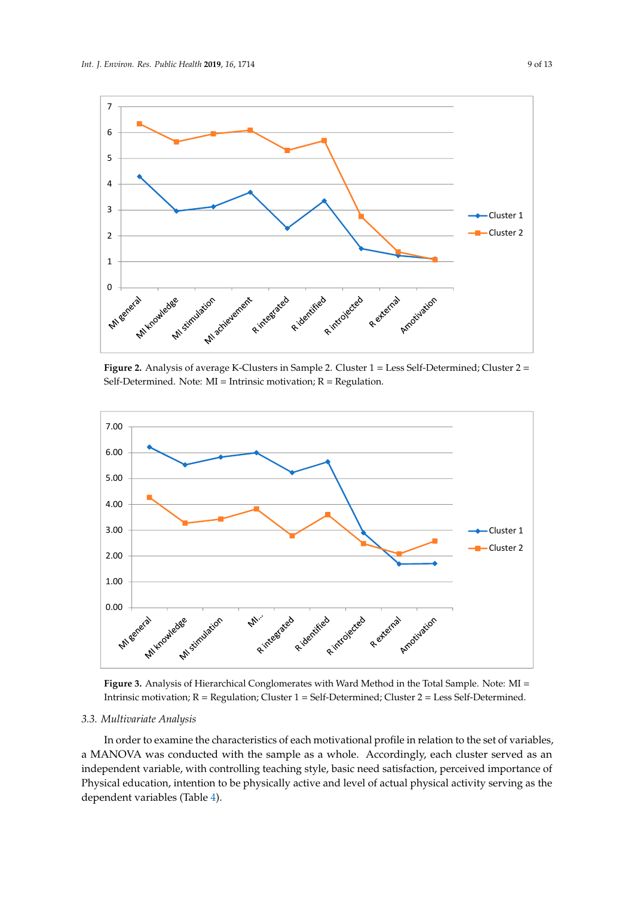<span id="page-8-0"></span>

Figure 2. Analysis of average K-Clusters in Sample 2. Cluster  $1 =$  Less Self-Determined; Cluster  $2 =$ Self-Determined. Note: MI = Intrinsic motivation; R = Regulation.

<span id="page-8-1"></span>

**Figure 3.** Analysis of Hierarchical Conglomerates with Ward Method in the Total Sample. Note: MI = **Figure 3.** Analysis of Hierarchical Conglomerates with Ward Method in the Total Sample. Note: MI = Intrinsic motivation; R = Regulation; Cluster 1 = Self-Determined; Cluster 2 = Less Self-Determined. Intrinsic motivation; R = Regulation; Cluster 1 = Self-Determined; Cluster 2 = Less Self-Determined.

## *3.3. Multivariate Analysis 3.3. Multivariate Analysis*

In order to examine the characteristics of each motivational profile in relation to the set of In order to examine the characteristics of each motivational profile in relation to the set of variables, a MANOVA was conducted with the sample as a whole. Accordingly, each cluster served as an independent variable, with controlling teaching style, basic need satisfaction, perceived importance of portance variable, while controlling to and level of population of physical physical physical physical physical physical physical physical physical physical physical physical physical physical physical physical physical ph activity serving as the dependent variables (Table 4). Physical education, intention to be physically active and level of actual physical activity serving as the dependent variables (Table [4\)](#page-9-0).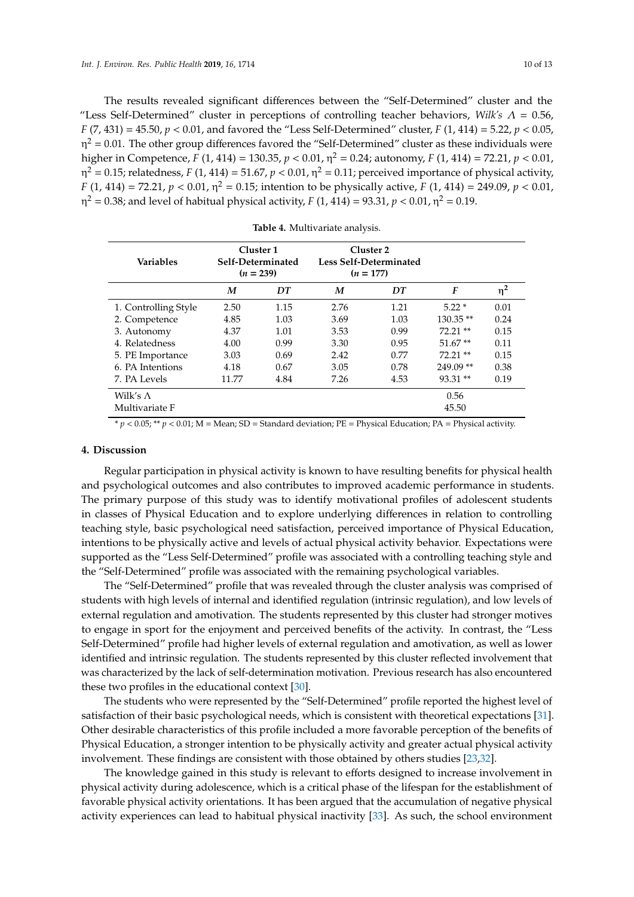The results revealed significant differences between the "Self-Determined" cluster and the "Less Self-Determined" cluster in perceptions of controlling teacher behaviors, *Wilk's*  $\Lambda = 0.56$ , *F* (7, 431) = 45.50, *p* < 0.01, and favored the "Less Self-Determined" cluster, *F* (1, 414) = 5.22, *p* < 0.05,  $\eta^2$  = 0.01. The other group differences favored the "Self-Determined" cluster as these individuals were higher in Competence, *F* (1, 414) = 130.35, *p* < 0.01, η <sup>2</sup> = 0.24; autonomy, *F* (1, 414) = 72.21, *p* < 0.01, η<sup>2</sup> = 0.15; relatedness, *F* (1, 414) = 51.67, *p* < 0.01, η<sup>2</sup> = 0.11; perceived importance of physical activity, *F* (1, 414) = 72.21, *p* < 0.01, η <sup>2</sup> = 0.15; intention to be physically active, *F* (1, 414) = 249.09, *p* < 0.01, η<sup>2</sup> = 0.38; and level of habitual physical activity, *F* (1, 414) = 93.31, *p* < 0.01, η<sup>2</sup> = 0.19.

<span id="page-9-0"></span>

| <b>Variables</b>     | Cluster 1<br>Self-Determinated<br>$(n = 239)$ |      | $(n = 177)$ | Cluster 2<br>Less Self-Determinated |            |          |
|----------------------|-----------------------------------------------|------|-------------|-------------------------------------|------------|----------|
|                      | M                                             | DT   | M           | DT                                  | F          | $\eta^2$ |
| 1. Controlling Style | 2.50                                          | 1.15 | 2.76        | 1.21                                | $5.22*$    | 0.01     |
| 2. Competence        | 4.85                                          | 1.03 | 3.69        | 1.03                                | $130.35**$ | 0.24     |
| 3. Autonomy          | 4.37                                          | 1.01 | 3.53        | 0.99                                | $72.21**$  | 0.15     |
| 4. Relatedness       | 4.00                                          | 0.99 | 3.30        | 0.95                                | $51.67**$  | 0.11     |
| 5. PE Importance     | 3.03                                          | 0.69 | 2.42        | 0.77                                | $72.21**$  | 0.15     |
| 6. PA Intentions     | 4.18                                          | 0.67 | 3.05        | 0.78                                | $249.09**$ | 0.38     |
| 7. PA Levels         | 11.77                                         | 4.84 | 7.26        | 4.53                                | $93.31**$  | 0.19     |
| Wilk's $\Lambda$     |                                               |      |             |                                     | 0.56       |          |
| Multivariate F       |                                               |      |             |                                     | 45.50      |          |

| Table 4. Multivariate analysis. |  |  |  |  |  |  |
|---------------------------------|--|--|--|--|--|--|
|---------------------------------|--|--|--|--|--|--|

\* *p* < 0.05; \*\* *p* < 0.01; M = Mean; SD = Standard deviation; PE = Physical Education; PA = Physical activity.

## **4. Discussion**

Regular participation in physical activity is known to have resulting benefits for physical health and psychological outcomes and also contributes to improved academic performance in students. The primary purpose of this study was to identify motivational profiles of adolescent students in classes of Physical Education and to explore underlying differences in relation to controlling teaching style, basic psychological need satisfaction, perceived importance of Physical Education, intentions to be physically active and levels of actual physical activity behavior. Expectations were supported as the "Less Self-Determined" profile was associated with a controlling teaching style and the "Self-Determined" profile was associated with the remaining psychological variables.

The "Self-Determined" profile that was revealed through the cluster analysis was comprised of students with high levels of internal and identified regulation (intrinsic regulation), and low levels of external regulation and amotivation. The students represented by this cluster had stronger motives to engage in sport for the enjoyment and perceived benefits of the activity. In contrast, the "Less Self-Determined" profile had higher levels of external regulation and amotivation, as well as lower identified and intrinsic regulation. The students represented by this cluster reflected involvement that was characterized by the lack of self-determination motivation. Previous research has also encountered these two profiles in the educational context [\[30\]](#page-12-6).

The students who were represented by the "Self-Determined" profile reported the highest level of satisfaction of their basic psychological needs, which is consistent with theoretical expectations [\[31\]](#page-12-7). Other desirable characteristics of this profile included a more favorable perception of the benefits of Physical Education, a stronger intention to be physically activity and greater actual physical activity involvement. These findings are consistent with those obtained by others studies [\[23](#page-11-20)[,32\]](#page-12-8).

The knowledge gained in this study is relevant to efforts designed to increase involvement in physical activity during adolescence, which is a critical phase of the lifespan for the establishment of favorable physical activity orientations. It has been argued that the accumulation of negative physical activity experiences can lead to habitual physical inactivity [\[33\]](#page-12-9). As such, the school environment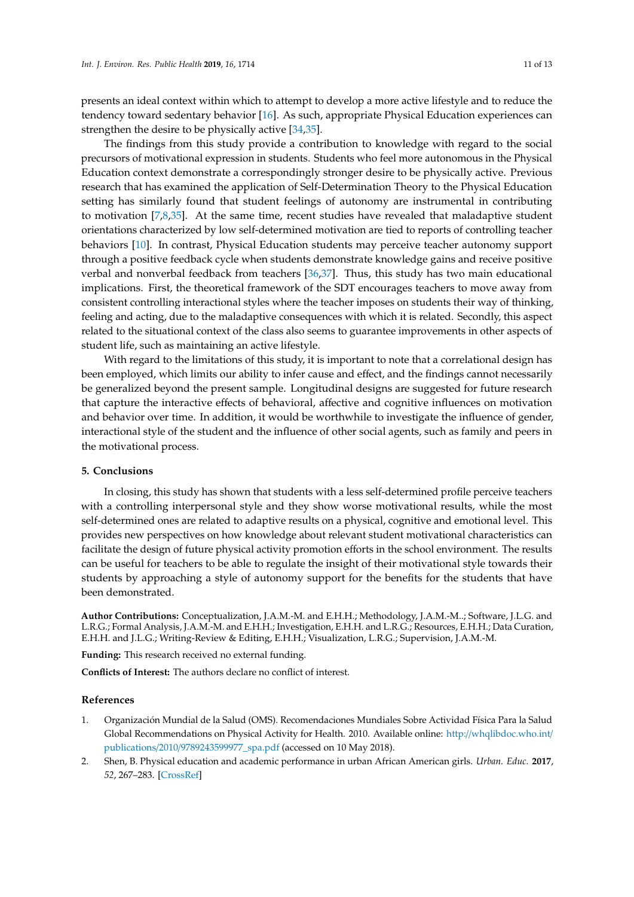presents an ideal context within which to attempt to develop a more active lifestyle and to reduce the tendency toward sedentary behavior [\[16\]](#page-11-13). As such, appropriate Physical Education experiences can strengthen the desire to be physically active [\[34,](#page-12-10)[35\]](#page-12-11).

The findings from this study provide a contribution to knowledge with regard to the social precursors of motivational expression in students. Students who feel more autonomous in the Physical Education context demonstrate a correspondingly stronger desire to be physically active. Previous research that has examined the application of Self-Determination Theory to the Physical Education setting has similarly found that student feelings of autonomy are instrumental in contributing to motivation  $[7,8,35]$  $[7,8,35]$  $[7,8,35]$ . At the same time, recent studies have revealed that maladaptive student orientations characterized by low self-determined motivation are tied to reports of controlling teacher behaviors [\[10\]](#page-11-7). In contrast, Physical Education students may perceive teacher autonomy support through a positive feedback cycle when students demonstrate knowledge gains and receive positive verbal and nonverbal feedback from teachers [\[36](#page-12-12)[,37\]](#page-12-13). Thus, this study has two main educational implications. First, the theoretical framework of the SDT encourages teachers to move away from consistent controlling interactional styles where the teacher imposes on students their way of thinking, feeling and acting, due to the maladaptive consequences with which it is related. Secondly, this aspect related to the situational context of the class also seems to guarantee improvements in other aspects of student life, such as maintaining an active lifestyle.

With regard to the limitations of this study, it is important to note that a correlational design has been employed, which limits our ability to infer cause and effect, and the findings cannot necessarily be generalized beyond the present sample. Longitudinal designs are suggested for future research that capture the interactive effects of behavioral, affective and cognitive influences on motivation and behavior over time. In addition, it would be worthwhile to investigate the influence of gender, interactional style of the student and the influence of other social agents, such as family and peers in the motivational process.

## **5. Conclusions**

In closing, this study has shown that students with a less self-determined profile perceive teachers with a controlling interpersonal style and they show worse motivational results, while the most self-determined ones are related to adaptive results on a physical, cognitive and emotional level. This provides new perspectives on how knowledge about relevant student motivational characteristics can facilitate the design of future physical activity promotion efforts in the school environment. The results can be useful for teachers to be able to regulate the insight of their motivational style towards their students by approaching a style of autonomy support for the benefits for the students that have been demonstrated.

**Author Contributions:** Conceptualization, J.A.M.-M. and E.H.H.; Methodology, J.A.M.-M..; Software, J.L.G. and L.R.G.; Formal Analysis, J.A.M.-M. and E.H.H.; Investigation, E.H.H. and L.R.G.; Resources, E.H.H.; Data Curation, E.H.H. and J.L.G.; Writing-Review & Editing, E.H.H.; Visualization, L.R.G.; Supervision, J.A.M.-M.

**Funding:** This research received no external funding.

**Conflicts of Interest:** The authors declare no conflict of interest.

#### **References**

- <span id="page-10-0"></span>1. Organización Mundial de la Salud (OMS). Recomendaciones Mundiales Sobre Actividad Física Para la Salud Global Recommendations on Physical Activity for Health. 2010. Available online: http://[whqlibdoc.who.int](http://whqlibdoc.who.int/publications/2010/9789243599977_spa.pdf)/ publications/2010/[9789243599977\\_spa.pdf](http://whqlibdoc.who.int/publications/2010/9789243599977_spa.pdf) (accessed on 10 May 2018).
- <span id="page-10-1"></span>2. Shen, B. Physical education and academic performance in urban African American girls. *Urban. Educ.* **2017**, *52*, 267–283. [\[CrossRef\]](http://dx.doi.org/10.1177/0042085914566095)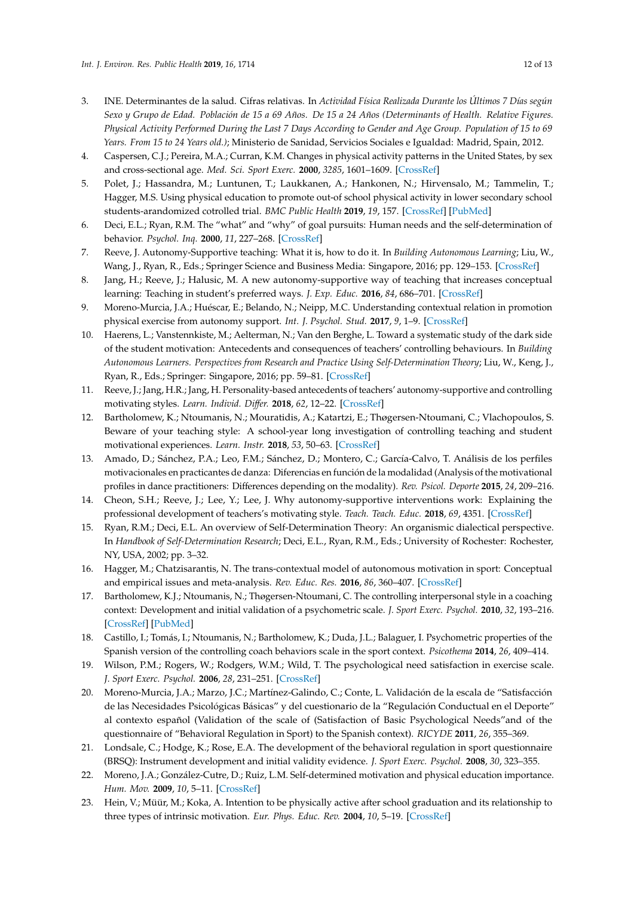- <span id="page-11-0"></span>3. INE. Determinantes de la salud. Cifras relativas. In *Actividad Física Realizada Durante los Últimos 7 Días según Sexo y Grupo de Edad. Población de 15 a 69 Años. De 15 a 24 Años (Determinants of Health. Relative Figures. Physical Activity Performed During the Last 7 Days According to Gender and Age Group. Population of 15 to 69 Years. From 15 to 24 Years old.)*; Ministerio de Sanidad, Servicios Sociales e Igualdad: Madrid, Spain, 2012.
- <span id="page-11-1"></span>4. Caspersen, C.J.; Pereira, M.A.; Curran, K.M. Changes in physical activity patterns in the United States, by sex and cross-sectional age. *Med. Sci. Sport Exerc.* **2000**, *3285*, 1601–1609. [\[CrossRef\]](http://dx.doi.org/10.1097/00005768-200009000-00013)
- <span id="page-11-2"></span>5. Polet, J.; Hassandra, M.; Luntunen, T.; Laukkanen, A.; Hankonen, N.; Hirvensalo, M.; Tammelin, T.; Hagger, M.S. Using physical education to promote out-of school physical activity in lower secondary school students-arandomized cotrolled trial. *BMC Public Health* **2019**, *19*, 157. [\[CrossRef\]](http://dx.doi.org/10.1186/s12889-019-6478-x) [\[PubMed\]](http://www.ncbi.nlm.nih.gov/pubmed/30727989)
- <span id="page-11-3"></span>6. Deci, E.L.; Ryan, R.M. The "what" and "why" of goal pursuits: Human needs and the self-determination of behavior. *Psychol. Inq.* **2000**, *11*, 227–268. [\[CrossRef\]](http://dx.doi.org/10.1207/S15327965PLI1104_01)
- <span id="page-11-4"></span>7. Reeve, J. Autonomy-Supportive teaching: What it is, how to do it. In *Building Autonomous Learning*; Liu, W., Wang, J., Ryan, R., Eds.; Springer Science and Business Media: Singapore, 2016; pp. 129–153. [\[CrossRef\]](http://dx.doi.org/10.1007/978-981-287-630-0_7)
- <span id="page-11-5"></span>8. Jang, H.; Reeve, J.; Halusic, M. A new autonomy-supportive way of teaching that increases conceptual learning: Teaching in student's preferred ways. *J. Exp. Educ.* **2016**, *84*, 686–701. [\[CrossRef\]](http://dx.doi.org/10.1080/00220973.2015.1083522)
- <span id="page-11-6"></span>9. Moreno-Murcia, J.A.; Huéscar, E.; Belando, N.; Neipp, M.C. Understanding contextual relation in promotion physical exercise from autonomy support. *Int. J. Psychol. Stud.* **2017**, *9*, 1–9. [\[CrossRef\]](http://dx.doi.org/10.5539/ijps.v9n1p1)
- <span id="page-11-7"></span>10. Haerens, L.; Vanstennkiste, M.; Aelterman, N.; Van den Berghe, L. Toward a systematic study of the dark side of the student motivation: Antecedents and consequences of teachers' controlling behaviours. In *Building Autonomous Learners. Perspectives from Research and Practice Using Self-Determination Theory*; Liu, W., Keng, J., Ryan, R., Eds.; Springer: Singapore, 2016; pp. 59–81. [\[CrossRef\]](http://dx.doi.org/10.1007/978-981-287-630-0_4)
- <span id="page-11-8"></span>11. Reeve, J.; Jang, H.R.; Jang, H. Personality-based antecedents of teachers' autonomy-supportive and controlling motivating styles. *Learn. Individ. Di*ff*er.* **2018**, *62*, 12–22. [\[CrossRef\]](http://dx.doi.org/10.1016/j.lindif.2018.01.001)
- <span id="page-11-9"></span>12. Bartholomew, K.; Ntoumanis, N.; Mouratidis, A.; Katartzi, E.; Thøgersen-Ntoumani, C.; Vlachopoulos, S. Beware of your teaching style: A school-year long investigation of controlling teaching and student motivational experiences. *Learn. Instr.* **2018**, *53*, 50–63. [\[CrossRef\]](http://dx.doi.org/10.1016/j.learninstruc.2017.07.006)
- <span id="page-11-10"></span>13. Amado, D.; Sánchez, P.A.; Leo, F.M.; Sánchez, D.; Montero, C.; García-Calvo, T. Análisis de los perfiles motivacionales en practicantes de danza: Diferencias en función de la modalidad (Analysis of the motivational profiles in dance practitioners: Differences depending on the modality). *Rev. Psicol. Deporte* **2015**, *24*, 209–216.
- <span id="page-11-11"></span>14. Cheon, S.H.; Reeve, J.; Lee, Y.; Lee, J. Why autonomy-supportive interventions work: Explaining the professional development of teachers's motivating style. *Teach. Teach. Educ.* **2018**, *69*, 4351. [\[CrossRef\]](http://dx.doi.org/10.1016/j.tate.2017.09.022)
- <span id="page-11-12"></span>15. Ryan, R.M.; Deci, E.L. An overview of Self-Determination Theory: An organismic dialectical perspective. In *Handbook of Self-Determination Research*; Deci, E.L., Ryan, R.M., Eds.; University of Rochester: Rochester, NY, USA, 2002; pp. 3–32.
- <span id="page-11-13"></span>16. Hagger, M.; Chatzisarantis, N. The trans-contextual model of autonomous motivation in sport: Conceptual and empirical issues and meta-analysis. *Rev. Educ. Res.* **2016**, *86*, 360–407. [\[CrossRef\]](http://dx.doi.org/10.3102/0034654315585005)
- <span id="page-11-14"></span>17. Bartholomew, K.J.; Ntoumanis, N.; Thøgersen-Ntoumani, C. The controlling interpersonal style in a coaching context: Development and initial validation of a psychometric scale. *J. Sport Exerc. Psychol.* **2010**, *32*, 193–216. [\[CrossRef\]](http://dx.doi.org/10.1123/jsep.32.2.193) [\[PubMed\]](http://www.ncbi.nlm.nih.gov/pubmed/20479478)
- <span id="page-11-15"></span>18. Castillo, I.; Tomás, I.; Ntoumanis, N.; Bartholomew, K.; Duda, J.L.; Balaguer, I. Psychometric properties of the Spanish version of the controlling coach behaviors scale in the sport context. *Psicothema* **2014**, *26*, 409–414.
- <span id="page-11-16"></span>19. Wilson, P.M.; Rogers, W.; Rodgers, W.M.; Wild, T. The psychological need satisfaction in exercise scale. *J. Sport Exerc. Psychol.* **2006**, *28*, 231–251. [\[CrossRef\]](http://dx.doi.org/10.1123/jsep.28.3.231)
- <span id="page-11-17"></span>20. Moreno-Murcia, J.A.; Marzo, J.C.; Martínez-Galindo, C.; Conte, L. Validación de la escala de "Satisfacción de las Necesidades Psicológicas Básicas" y del cuestionario de la "Regulación Conductual en el Deporte" al contexto español (Validation of the scale of (Satisfaction of Basic Psychological Needs"and of the questionnaire of "Behavioral Regulation in Sport) to the Spanish context). *RICYDE* **2011**, *26*, 355–369.
- <span id="page-11-18"></span>21. Londsale, C.; Hodge, K.; Rose, E.A. The development of the behavioral regulation in sport questionnaire (BRSQ): Instrument development and initial validity evidence. *J. Sport Exerc. Psychol.* **2008**, *30*, 323–355.
- <span id="page-11-19"></span>22. Moreno, J.A.; González-Cutre, D.; Ruiz, L.M. Self-determined motivation and physical education importance. *Hum. Mov.* **2009**, *10*, 5–11. [\[CrossRef\]](http://dx.doi.org/10.2478/v10038-008-0022-7)
- <span id="page-11-20"></span>23. Hein, V.; Müür, M.; Koka, A. Intention to be physically active after school graduation and its relationship to three types of intrinsic motivation. *Eur. Phys. Educ. Rev.* **2004**, *10*, 5–19. [\[CrossRef\]](http://dx.doi.org/10.1177/1356336X04040618)